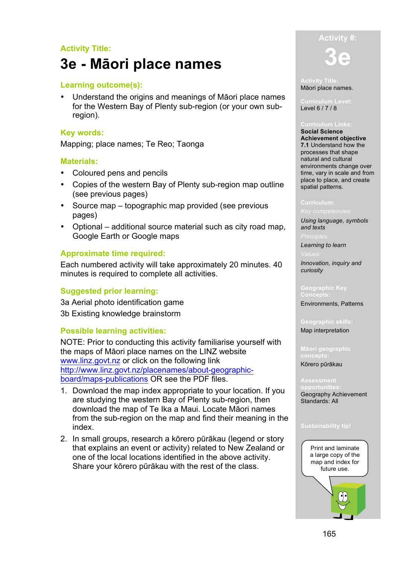## **Activity Title:**

# **3e - Māori place names**

#### **Learning outcome(s):**

• Understand the origins and meanings of Māori place names for the Western Bay of Plenty sub-region (or your own subregion).

#### **Key words:**

Mapping; place names; Te Reo; Taonga

#### **Materials:**

- Coloured pens and pencils
- Copies of the western Bay of Plenty sub-region map outline (see previous pages)
- Source map topographic map provided (see previous pages)
- Optional additional source material such as city road map, Google Earth or Google maps

#### **Approximate time required:**

Each numbered activity will take approximately 20 minutes. 40 minutes is required to complete all activities.

### **Suggested prior learning:**

3a Aerial photo identification game 3b Existing knowledge brainstorm

#### **Possible learning activities:**

NOTE: Prior to conducting this activity familiarise yourself with the maps of Māori place names on the LINZ website www.linz.govt.nz or click on the following link http://www.linz.govt.nz/placenames/about-geographicboard/maps-publications OR see the PDF files.

- 1. Download the map index appropriate to your location. If you are studying the western Bay of Plenty sub-region, then download the map of Te Ika a Maui. Locate Māori names from the sub-region on the map and find their meaning in the index.
- 2. In small groups, research a kōrero pūrākau (legend or story that explains an event or activity) related to New Zealand or one of the local locations identified in the above activity. Share your kōrero pūrākau with the rest of the class.



**Activity Title:** Māori place names.

Level 6 / 7 / 8

**Social Science Achievement objective 7.1** Understand how the processes that shape natural and cultural environments change over time, vary in scale and from place to place, and create spatial patterns.

#### **Curriculum:**

*Using language, symbols and texts*

*Learning to learn*

*Innovation, inquiry and curiosity*

#### **Geographic Key Concepts:**

Environments, Patterns

**Geographic skills:** Map interpretation

**Māori geographic** 

Kōrero pūrākau

Geography Achievement Standards: All